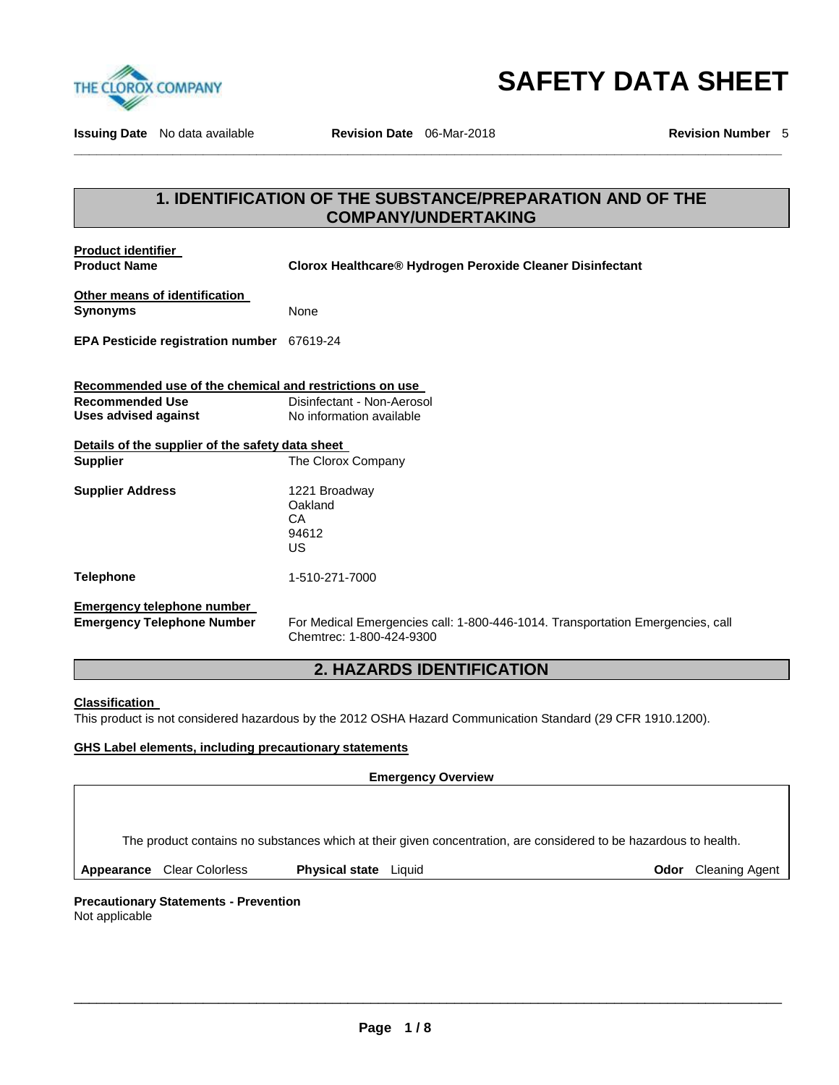

**SAFETY DATA SHEET** 

**Issuing Date** No data available **Revision Date** 06-Mar-2018 **Revision Number** 5

## **1. IDENTIFICATION OF THE SUBSTANCE/PREPARATION AND OF THE COMPANY/UNDERTAKING**

**\_\_\_\_\_\_\_\_\_\_\_\_\_\_\_\_\_\_\_\_\_\_\_\_\_\_\_\_\_\_\_\_\_\_\_\_\_\_\_\_\_\_\_\_\_\_\_\_\_\_\_\_\_\_\_\_\_\_\_\_\_\_\_\_\_\_\_\_\_\_\_\_\_\_\_\_\_\_\_\_\_\_\_\_\_\_\_\_\_\_\_\_\_** 

**Product identifier** 

**Product Name Clorox Healthcare® Hydrogen Peroxide Cleaner Disinfectant** 

| Other means of identification |      |
|-------------------------------|------|
| <b>Synonyms</b>               | None |

**EPA Pesticide registration number** 67619-24

**Recommended use of the chemical and restrictions on use Recommended Use Disinfectant - Non-Aerosol** Uses advised against **No information available** 

| Details of the supplier of the safety data sheet |                                               |  |  |  |
|--------------------------------------------------|-----------------------------------------------|--|--|--|
| Supplier                                         | The Clorox Company                            |  |  |  |
| <b>Supplier Address</b>                          | 1221 Broadway<br>Oakland<br>CА<br>94612<br>US |  |  |  |
| Telephone                                        | 1-510-271-7000                                |  |  |  |

## **Emergency telephone number**

**Emergency Telephone Number** For Medical Emergencies call: 1-800-446-1014. Transportation Emergencies, call Chemtrec: 1-800-424-9300

## **2. HAZARDS IDENTIFICATION**

#### **Classification**

This product is not considered hazardous by the 2012 OSHA Hazard Communication Standard (29 CFR 1910.1200).

#### **GHS Label elements, including precautionary statements**

#### **Emergency Overview**

The product contains no substances which at their given concentration, are considered to be hazardous to health.

\_\_\_\_\_\_\_\_\_\_\_\_\_\_\_\_\_\_\_\_\_\_\_\_\_\_\_\_\_\_\_\_\_\_\_\_\_\_\_\_\_\_\_\_\_\_\_\_\_\_\_\_\_\_\_\_\_\_\_\_\_\_\_\_\_\_\_\_\_\_\_\_\_\_\_\_\_\_\_\_\_\_\_\_\_\_\_\_\_\_\_\_\_

**Appearance Clear Colorless <b>Physical state** Liquid **Constant Color Cleaning Agent Odor** Cleaning Agent

## **Precautionary Statements - Prevention**

Not applicable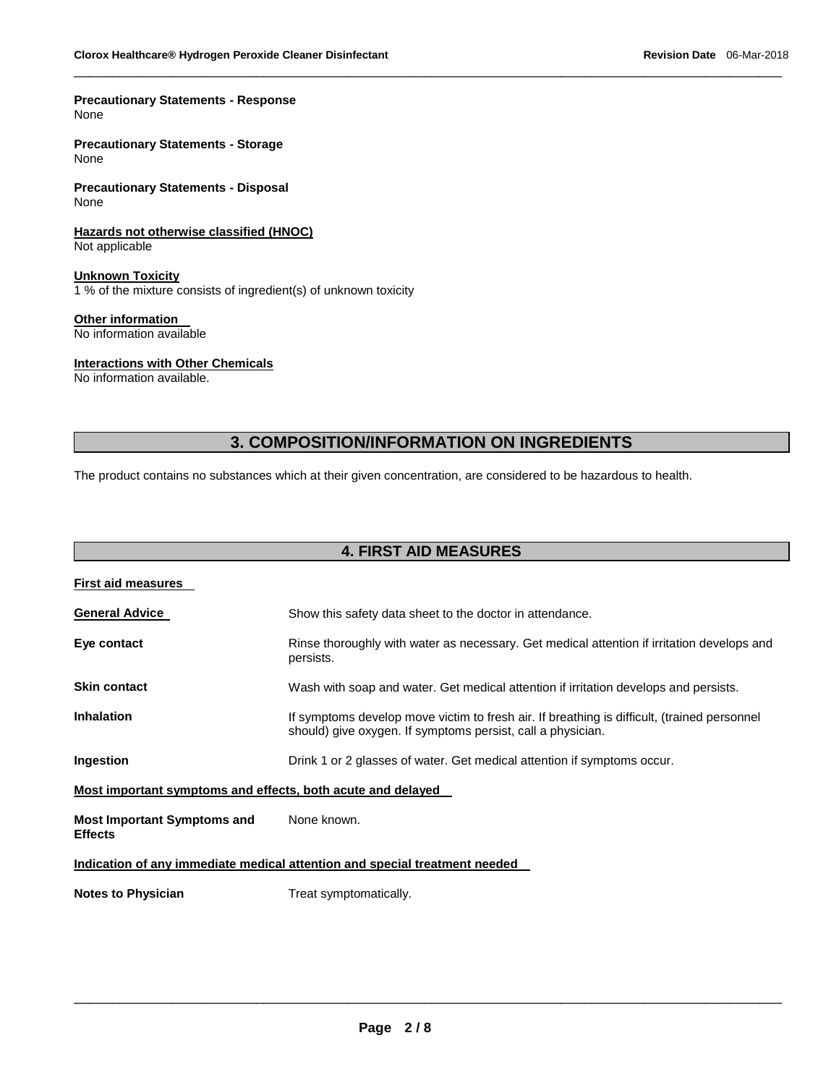#### **Precautionary Statements - Response** None

**Precautionary Statements - Storage** None

**Precautionary Statements - Disposal** None

**Hazards not otherwise classified (HNOC)** Not applicable

**Unknown Toxicity** 1 % of the mixture consists of ingredient(s) of unknown toxicity

**Other information** 

No information available

#### **Interactions with Other Chemicals**

No information available.

## **3. COMPOSITION/INFORMATION ON INGREDIENTS**

\_\_\_\_\_\_\_\_\_\_\_\_\_\_\_\_\_\_\_\_\_\_\_\_\_\_\_\_\_\_\_\_\_\_\_\_\_\_\_\_\_\_\_\_\_\_\_\_\_\_\_\_\_\_\_\_\_\_\_\_\_\_\_\_\_\_\_\_\_\_\_\_\_\_\_\_\_\_\_\_\_\_\_\_\_\_\_\_\_\_\_\_\_

The product contains no substances which at their given concentration, are considered to be hazardous to health.

## **4. FIRST AID MEASURES**

| <b>First aid measures</b>                                                  |                                                                                                                                                            |  |  |
|----------------------------------------------------------------------------|------------------------------------------------------------------------------------------------------------------------------------------------------------|--|--|
| <b>General Advice</b>                                                      | Show this safety data sheet to the doctor in attendance.                                                                                                   |  |  |
| Eye contact                                                                | Rinse thoroughly with water as necessary. Get medical attention if irritation develops and<br>persists.                                                    |  |  |
| <b>Skin contact</b>                                                        | Wash with soap and water. Get medical attention if irritation develops and persists.                                                                       |  |  |
| <b>Inhalation</b>                                                          | If symptoms develop move victim to fresh air. If breathing is difficult, (trained personnel<br>should) give oxygen. If symptoms persist, call a physician. |  |  |
| Ingestion                                                                  | Drink 1 or 2 glasses of water. Get medical attention if symptoms occur.                                                                                    |  |  |
| Most important symptoms and effects, both acute and delayed                |                                                                                                                                                            |  |  |
| <b>Most Important Symptoms and</b><br><b>Effects</b>                       | None known.                                                                                                                                                |  |  |
| Indication of any immediate medical attention and special treatment needed |                                                                                                                                                            |  |  |
| <b>Notes to Physician</b>                                                  | Treat symptomatically.                                                                                                                                     |  |  |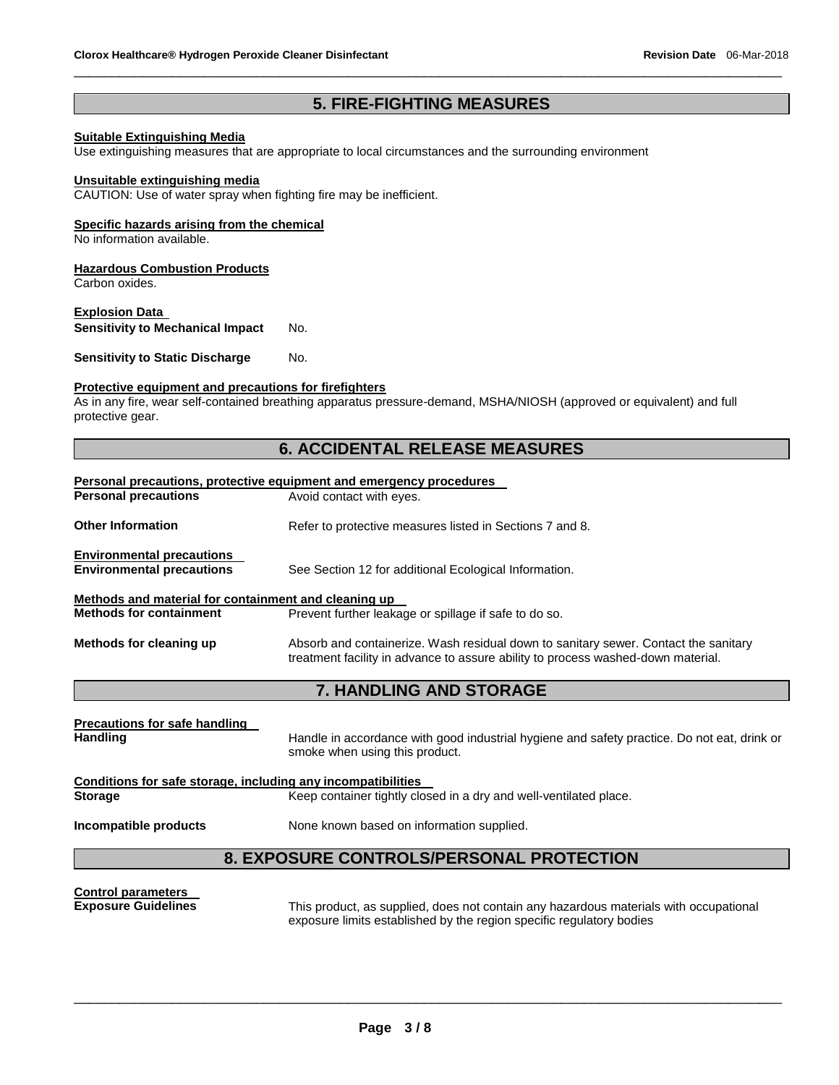## **5. FIRE-FIGHTING MEASURES**

\_\_\_\_\_\_\_\_\_\_\_\_\_\_\_\_\_\_\_\_\_\_\_\_\_\_\_\_\_\_\_\_\_\_\_\_\_\_\_\_\_\_\_\_\_\_\_\_\_\_\_\_\_\_\_\_\_\_\_\_\_\_\_\_\_\_\_\_\_\_\_\_\_\_\_\_\_\_\_\_\_\_\_\_\_\_\_\_\_\_\_\_\_

#### **Suitable Extinguishing Media**

Use extinguishing measures that are appropriate to local circumstances and the surrounding environment

#### **Unsuitable extinguishing media**

CAUTION: Use of water spray when fighting fire may be inefficient.

#### **Specific hazards arising from the chemical**

No information available.

#### **Hazardous Combustion Products**

Carbon oxides.

#### **Explosion Data**

**Sensitivity to Mechanical Impact** No.

**Sensitivity to Static Discharge Mo.** 

#### **Protective equipment and precautions for firefighters**

As in any fire, wear self-contained breathing apparatus pressure-demand, MSHA/NIOSH (approved or equivalent) and full protective gear.

## **6. ACCIDENTAL RELEASE MEASURES**

| <b>Personal precautions, protective equipment and emergency procedures</b> |                                                                                                                                                                         |  |  |  |
|----------------------------------------------------------------------------|-------------------------------------------------------------------------------------------------------------------------------------------------------------------------|--|--|--|
| <b>Personal precautions</b>                                                | Avoid contact with eyes.                                                                                                                                                |  |  |  |
| <b>Other Information</b>                                                   | Refer to protective measures listed in Sections 7 and 8.                                                                                                                |  |  |  |
| <b>Environmental precautions</b><br><b>Environmental precautions</b>       | See Section 12 for additional Ecological Information.                                                                                                                   |  |  |  |
| Methods and material for containment and cleaning up                       |                                                                                                                                                                         |  |  |  |
| <b>Methods for containment</b>                                             | Prevent further leakage or spillage if safe to do so.                                                                                                                   |  |  |  |
| Methods for cleaning up                                                    | Absorb and containerize. Wash residual down to sanitary sewer. Contact the sanitary<br>treatment facility in advance to assure ability to process washed-down material. |  |  |  |
|                                                                            | <b>7. HANDLING AND STORAGE</b>                                                                                                                                          |  |  |  |
|                                                                            |                                                                                                                                                                         |  |  |  |
| <b>Precautions for safe handling</b><br><b>Handling</b>                    | Handle in accordance with good industrial hygiene and safety practice. Do not eat, drink or<br>smoke when using this product.                                           |  |  |  |
| Conditions for safe storage, including any incompatibilities               |                                                                                                                                                                         |  |  |  |
| <b>Storage</b>                                                             | Keep container tightly closed in a dry and well-ventilated place.                                                                                                       |  |  |  |
| Incompatible products<br>None known based on information supplied.         |                                                                                                                                                                         |  |  |  |
| <b>8. EXPOSURE CONTROLS/PERSONAL PROTECTION</b>                            |                                                                                                                                                                         |  |  |  |
| <b>Control parameters</b>                                                  |                                                                                                                                                                         |  |  |  |

**Exposure Guidelines** This product, as supplied, does not contain any hazardous materials with occupational exposure limits established by the region specific regulatory bodies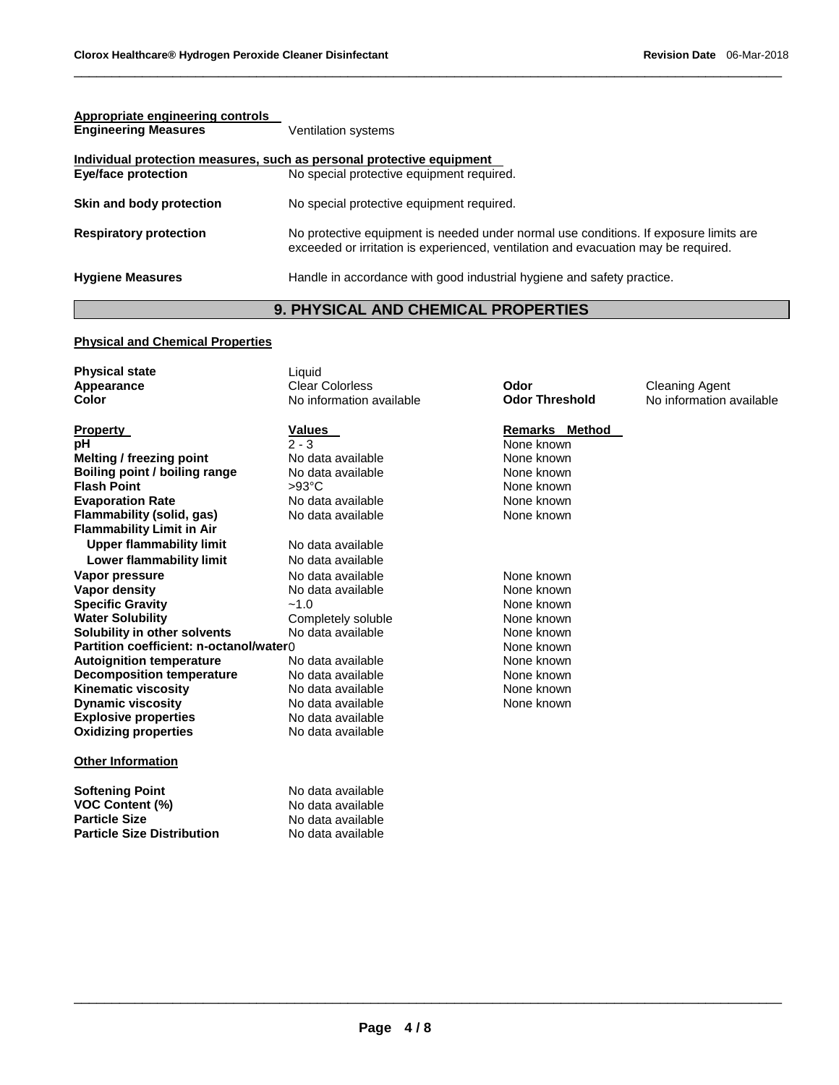| Appropriate engineering controls<br><b>Engineering Measures</b>       | Ventilation systems                                                                                                                                                         |
|-----------------------------------------------------------------------|-----------------------------------------------------------------------------------------------------------------------------------------------------------------------------|
| Individual protection measures, such as personal protective equipment |                                                                                                                                                                             |
| <b>Eye/face protection</b>                                            | No special protective equipment required.                                                                                                                                   |
| Skin and body protection                                              | No special protective equipment required.                                                                                                                                   |
| <b>Respiratory protection</b>                                         | No protective equipment is needed under normal use conditions. If exposure limits are<br>exceeded or irritation is experienced, ventilation and evacuation may be required. |
| <b>Hygiene Measures</b>                                               | Handle in accordance with good industrial hygiene and safety practice.                                                                                                      |

\_\_\_\_\_\_\_\_\_\_\_\_\_\_\_\_\_\_\_\_\_\_\_\_\_\_\_\_\_\_\_\_\_\_\_\_\_\_\_\_\_\_\_\_\_\_\_\_\_\_\_\_\_\_\_\_\_\_\_\_\_\_\_\_\_\_\_\_\_\_\_\_\_\_\_\_\_\_\_\_\_\_\_\_\_\_\_\_\_\_\_\_\_

## **9. PHYSICAL AND CHEMICAL PROPERTIES**

### **Physical and Chemical Properties**

| <b>Physical state</b><br>Appearance<br>Color                  | Liquid<br><b>Clear Colorless</b><br>No information available | Odor<br><b>Odor Threshold</b> | <b>Cleaning Agent</b><br>No information available |
|---------------------------------------------------------------|--------------------------------------------------------------|-------------------------------|---------------------------------------------------|
|                                                               |                                                              |                               |                                                   |
| <b>Property</b>                                               | <b>Values</b>                                                | Remarks Method                |                                                   |
| рH                                                            | $2 - 3$                                                      | None known                    |                                                   |
| Melting / freezing point                                      | No data available                                            | None known                    |                                                   |
| Boiling point / boiling range                                 | No data available                                            | None known                    |                                                   |
| <b>Flash Point</b>                                            | $>93^{\circ}$ C                                              | None known                    |                                                   |
| <b>Evaporation Rate</b>                                       | No data available                                            | None known                    |                                                   |
| Flammability (solid, gas)<br><b>Flammability Limit in Air</b> | No data available                                            | None known                    |                                                   |
| <b>Upper flammability limit</b>                               | No data available                                            |                               |                                                   |
| Lower flammability limit                                      | No data available                                            |                               |                                                   |
| Vapor pressure                                                | No data available                                            | None known                    |                                                   |
| Vapor density                                                 | No data available                                            | None known                    |                                                   |
| <b>Specific Gravity</b>                                       | $-1.0$                                                       | None known                    |                                                   |
| <b>Water Solubility</b>                                       | Completely soluble                                           | None known                    |                                                   |
| Solubility in other solvents                                  | No data available                                            | None known                    |                                                   |
| Partition coefficient: n-octanol/water0                       |                                                              | None known                    |                                                   |
| <b>Autoignition temperature</b>                               | No data available                                            | None known                    |                                                   |
| <b>Decomposition temperature</b>                              | No data available                                            | None known                    |                                                   |
| <b>Kinematic viscosity</b>                                    | No data available                                            | None known                    |                                                   |
| <b>Dynamic viscosity</b>                                      | No data available                                            | None known                    |                                                   |
| <b>Explosive properties</b>                                   | No data available                                            |                               |                                                   |
| <b>Oxidizing properties</b>                                   | No data available                                            |                               |                                                   |
| <b>Other Information</b>                                      |                                                              |                               |                                                   |
| <b>Softening Point</b>                                        | No data available                                            |                               |                                                   |
| <b>VOC Content (%)</b>                                        | No data available                                            |                               |                                                   |
| <b>Particle Size</b>                                          | No data available                                            |                               |                                                   |
| <b>Particle Size Distribution</b>                             | No data available                                            |                               |                                                   |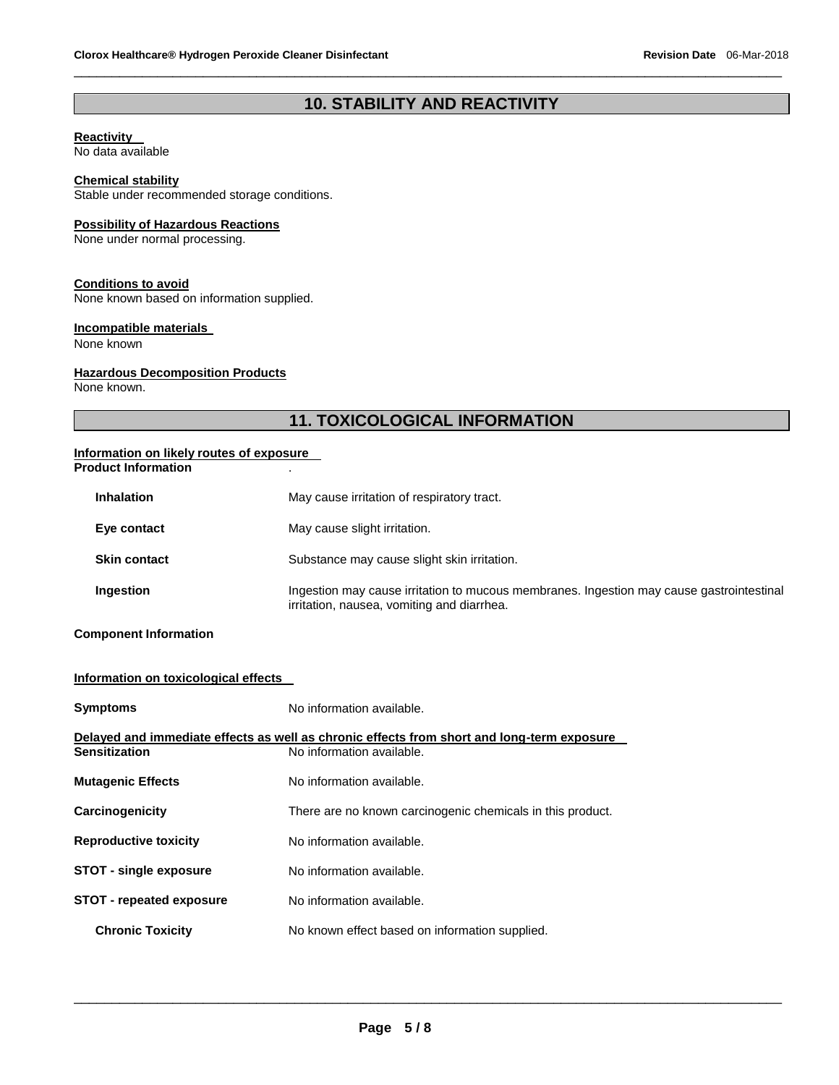## **10. STABILITY AND REACTIVITY**

\_\_\_\_\_\_\_\_\_\_\_\_\_\_\_\_\_\_\_\_\_\_\_\_\_\_\_\_\_\_\_\_\_\_\_\_\_\_\_\_\_\_\_\_\_\_\_\_\_\_\_\_\_\_\_\_\_\_\_\_\_\_\_\_\_\_\_\_\_\_\_\_\_\_\_\_\_\_\_\_\_\_\_\_\_\_\_\_\_\_\_\_\_

#### **Reactivity**

No data available

#### **Chemical stability**

Stable under recommended storage conditions.

#### **Possibility of Hazardous Reactions**

None under normal processing.

#### **Conditions to avoid**

None known based on information supplied.

#### **Incompatible materials**

None known

#### **Hazardous Decomposition Products**

None known.

## **11. TOXICOLOGICAL INFORMATION**

#### **Information on likely routes of exposure Product Information** .

| <b>Inhalation</b>   | May cause irritation of respiratory tract.                                                                                             |  |  |
|---------------------|----------------------------------------------------------------------------------------------------------------------------------------|--|--|
| Eye contact         | May cause slight irritation.                                                                                                           |  |  |
| <b>Skin contact</b> | Substance may cause slight skin irritation.                                                                                            |  |  |
| Ingestion           | Ingestion may cause irritation to mucous membranes. Ingestion may cause gastrointestinal<br>irritation, nausea, vomiting and diarrhea. |  |  |

#### **Component Information**

### **Information on toxicological effects**

| <b>Symptoms</b>                 | No information available.                                                                  |  |  |
|---------------------------------|--------------------------------------------------------------------------------------------|--|--|
|                                 | Delayed and immediate effects as well as chronic effects from short and long-term exposure |  |  |
| <b>Sensitization</b>            | No information available.                                                                  |  |  |
| <b>Mutagenic Effects</b>        | No information available.                                                                  |  |  |
| Carcinogenicity                 | There are no known carcinogenic chemicals in this product.                                 |  |  |
| <b>Reproductive toxicity</b>    | No information available.                                                                  |  |  |
| <b>STOT - single exposure</b>   | No information available.                                                                  |  |  |
| <b>STOT - repeated exposure</b> | No information available.                                                                  |  |  |
| <b>Chronic Toxicity</b>         | No known effect based on information supplied.                                             |  |  |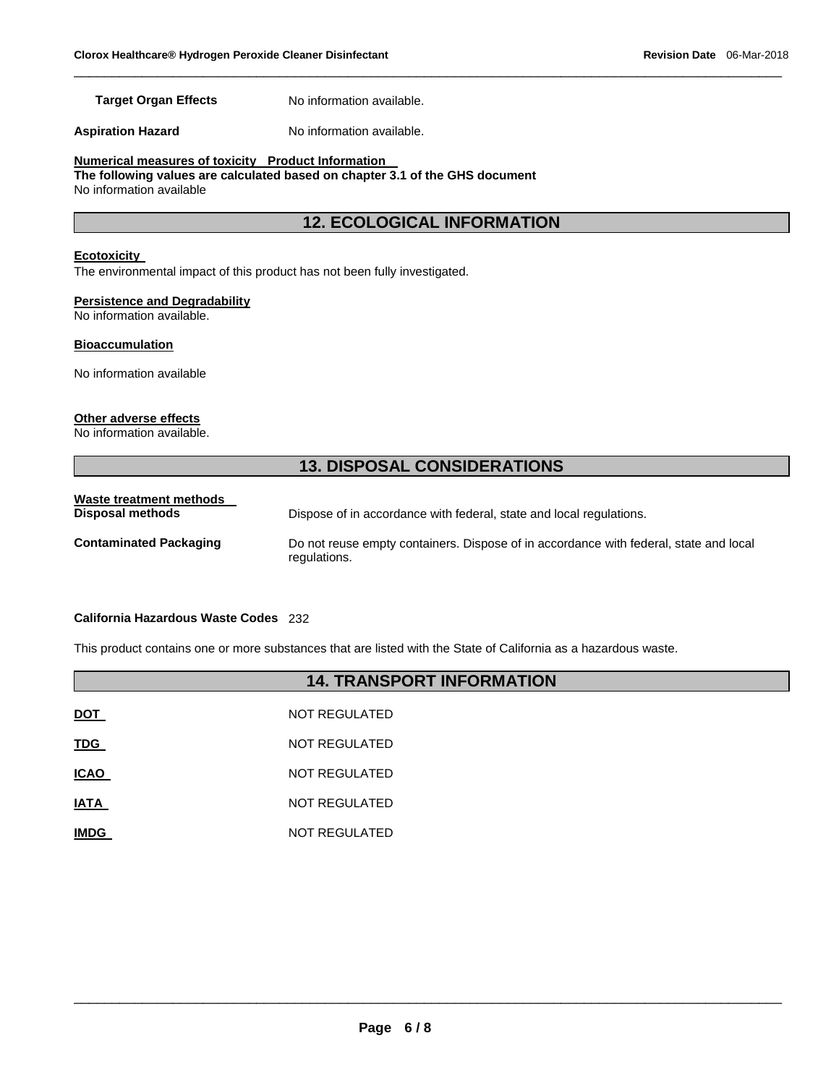**Target Organ Effects** No information available.

**Aspiration Hazard**  No information available.

**Numerical measures of toxicity Product Information** 

**The following values are calculated based on chapter 3.1 of the GHS document** No information available

## **12. ECOLOGICAL INFORMATION**

\_\_\_\_\_\_\_\_\_\_\_\_\_\_\_\_\_\_\_\_\_\_\_\_\_\_\_\_\_\_\_\_\_\_\_\_\_\_\_\_\_\_\_\_\_\_\_\_\_\_\_\_\_\_\_\_\_\_\_\_\_\_\_\_\_\_\_\_\_\_\_\_\_\_\_\_\_\_\_\_\_\_\_\_\_\_\_\_\_\_\_\_\_

#### **Ecotoxicity**

The environmental impact of this product has not been fully investigated.

#### **Persistence and Degradability**

No information available.

#### **Bioaccumulation**

No information available

#### **Other adverse effects**

No information available.

## **13. DISPOSAL CONSIDERATIONS**

| Waste treatment methods<br>Disposal methods | Dispose of in accordance with federal, state and local regulations.                                   |
|---------------------------------------------|-------------------------------------------------------------------------------------------------------|
| <b>Contaminated Packaging</b>               | Do not reuse empty containers. Dispose of in accordance with federal, state and local<br>regulations. |

#### **California Hazardous Waste Codes** 232

This product contains one or more substances that are listed with the State of California as a hazardous waste.

## **14. TRANSPORT INFORMATION**

| <b>DOT</b>  | NOT REGULATED |
|-------------|---------------|
| <b>TDG</b>  | NOT REGULATED |
| <b>ICAO</b> | NOT REGULATED |
| <b>IATA</b> | NOT REGULATED |
| <b>IMDG</b> | NOT REGULATED |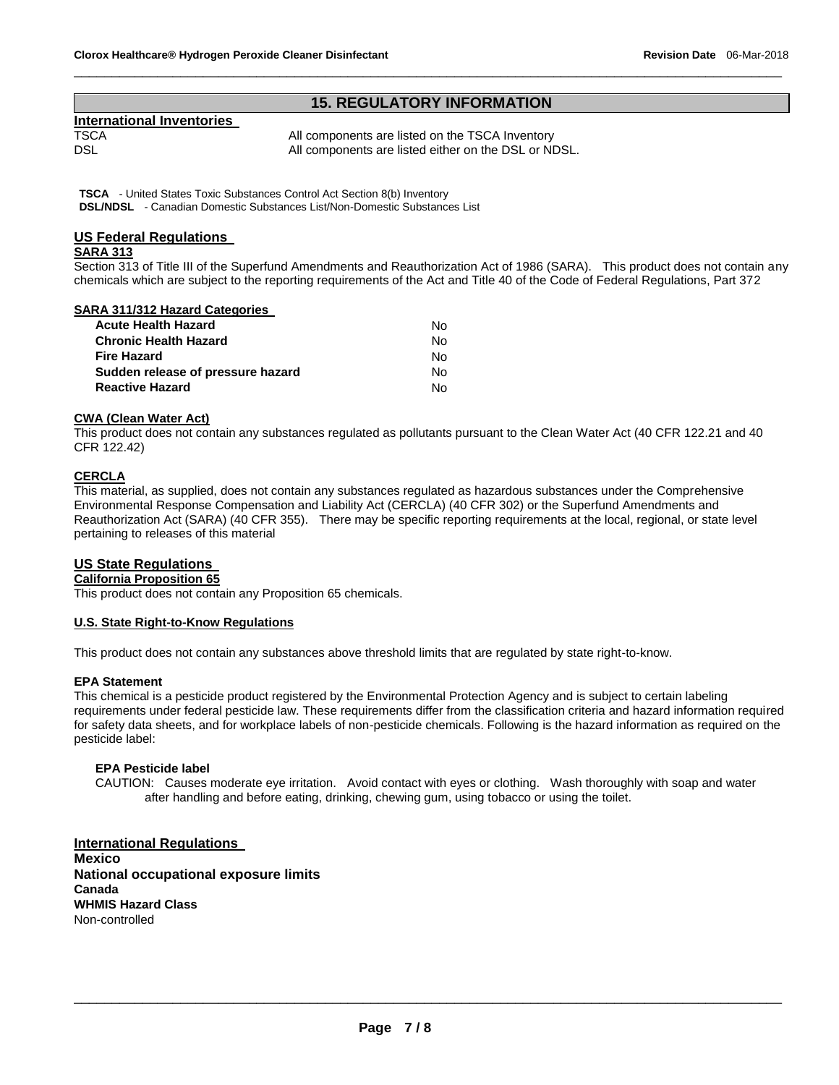#### **15. REGULATORY INFORMATION**

\_\_\_\_\_\_\_\_\_\_\_\_\_\_\_\_\_\_\_\_\_\_\_\_\_\_\_\_\_\_\_\_\_\_\_\_\_\_\_\_\_\_\_\_\_\_\_\_\_\_\_\_\_\_\_\_\_\_\_\_\_\_\_\_\_\_\_\_\_\_\_\_\_\_\_\_\_\_\_\_\_\_\_\_\_\_\_\_\_\_\_\_\_

# **International Inventories**

TSCA TSCA All components are listed on the TSCA Inventory<br>DSL All components are listed either on the DSL or NI All components are listed either on the DSL or NDSL.

**TSCA** - United States Toxic Substances Control Act Section 8(b) Inventory **DSL/NDSL** - Canadian Domestic Substances List/Non-Domestic Substances List

#### **US Federal Regulations**

#### **SARA 313**

Section 313 of Title III of the Superfund Amendments and Reauthorization Act of 1986 (SARA). This product does not contain any chemicals which are subject to the reporting requirements of the Act and Title 40 of the Code of Federal Regulations, Part 372

#### **SARA 311/312 Hazard Categories**

| Acute Health Hazard               | N٥ |
|-----------------------------------|----|
| Chronic Health Hazard             | N٥ |
| Fire Hazard                       | N٥ |
| Sudden release of pressure hazard | N٥ |
| <b>Reactive Hazard</b>            | N٥ |

#### **CWA (Clean Water Act)**

This product does not contain any substances regulated as pollutants pursuant to the Clean Water Act (40 CFR 122.21 and 40 CFR 122.42)

#### **CERCLA**

This material, as supplied, does not contain any substances regulated as hazardous substances under the Comprehensive Environmental Response Compensation and Liability Act (CERCLA) (40 CFR 302) or the Superfund Amendments and Reauthorization Act (SARA) (40 CFR 355). There may be specific reporting requirements at the local, regional, or state level pertaining to releases of this material

#### **US State Regulations**

**California Proposition 65**

This product does not contain any Proposition 65 chemicals.

#### **U.S. State Right-to-Know Regulations**

This product does not contain any substances above threshold limits that are regulated by state right-to-know.

#### **EPA Statement**

This chemical is a pesticide product registered by the Environmental Protection Agency and is subject to certain labeling requirements under federal pesticide law. These requirements differ from the classification criteria and hazard information required for safety data sheets, and for workplace labels of non-pesticide chemicals. Following is the hazard information as required on the pesticide label:

#### **EPA Pesticide label**

CAUTION: Causes moderate eye irritation. Avoid contact with eyes or clothing. Wash thoroughly with soap and water after handling and before eating, drinking, chewing gum, using tobacco or using the toilet.

**International Regulations Mexico National occupational exposure limits Canada WHMIS Hazard Class** Non-controlled